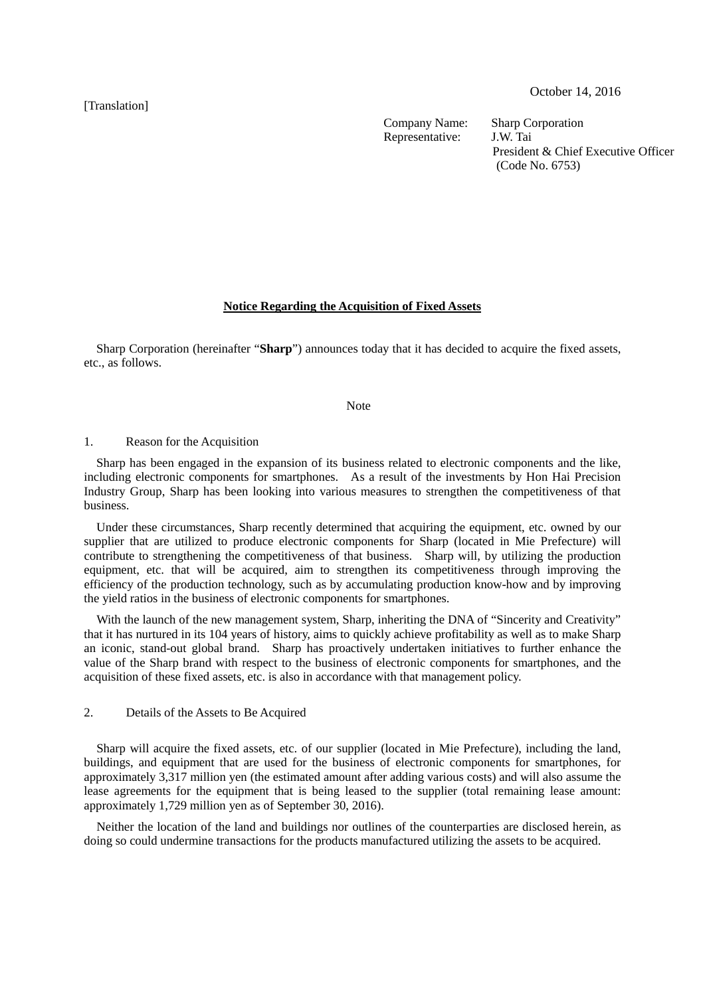[Translation]

Company Name: Sharp Corporation<br>Representative: J.W. Tai Representative:

President & Chief Executive Officer (Code No. 6753)

### **Notice Regarding the Acquisition of Fixed Assets**

Sharp Corporation (hereinafter "**Sharp**") announces today that it has decided to acquire the fixed assets, etc., as follows.

#### Note

#### 1. Reason for the Acquisition

Sharp has been engaged in the expansion of its business related to electronic components and the like, including electronic components for smartphones. As a result of the investments by Hon Hai Precision Industry Group, Sharp has been looking into various measures to strengthen the competitiveness of that business.

Under these circumstances, Sharp recently determined that acquiring the equipment, etc. owned by our supplier that are utilized to produce electronic components for Sharp (located in Mie Prefecture) will contribute to strengthening the competitiveness of that business. Sharp will, by utilizing the production equipment, etc. that will be acquired, aim to strengthen its competitiveness through improving the efficiency of the production technology, such as by accumulating production know-how and by improving the yield ratios in the business of electronic components for smartphones.

With the launch of the new management system, Sharp, inheriting the DNA of "Sincerity and Creativity" that it has nurtured in its 104 years of history, aims to quickly achieve profitability as well as to make Sharp an iconic, stand-out global brand. Sharp has proactively undertaken initiatives to further enhance the value of the Sharp brand with respect to the business of electronic components for smartphones, and the acquisition of these fixed assets, etc. is also in accordance with that management policy.

### 2. Details of the Assets to Be Acquired

Sharp will acquire the fixed assets, etc. of our supplier (located in Mie Prefecture), including the land, buildings, and equipment that are used for the business of electronic components for smartphones, for approximately 3,317 million yen (the estimated amount after adding various costs) and will also assume the lease agreements for the equipment that is being leased to the supplier (total remaining lease amount: approximately 1,729 million yen as of September 30, 2016).

Neither the location of the land and buildings nor outlines of the counterparties are disclosed herein, as doing so could undermine transactions for the products manufactured utilizing the assets to be acquired.